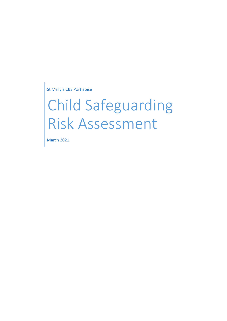St Mary's CBS Portlaoise

# Child Safeguarding Risk Assessment

March 2021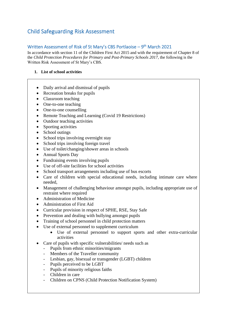## Child Safeguarding Risk Assessment

### Written Assessment of Risk of St Mary's CBS Portlaoise – 9<sup>th</sup> March 2021

In accordance with section 11 of the Children First Act 2015 and with the requirement of Chapter 8 of the *Child Protection Procedures for Primary and Post-Primary Schools 2017*, the following is the Written Risk Assessment of St Mary's CBS.

#### **1. List of school activities**

- Daily arrival and dismissal of pupils
- Recreation breaks for pupils
- Classroom teaching
- One-to-one teaching
- One-to-one counselling
- Remote Teaching and Learning (Covid 19 Restrictions)
- Outdoor teaching activities
- Sporting activities
- School outings
- School trips involving overnight stay
- School trips involving foreign travel
- Use of toilet/changing/shower areas in schools
- Annual Sports Day
- Fundraising events involving pupils
- Use of off-site facilities for school activities
- School transport arrangements including use of bus escorts
- Care of children with special educational needs, including intimate care where needed,
- Management of challenging behaviour amongst pupils, including appropriate use of restraint where required
- Administration of Medicine
- Administration of First Aid
- Curricular provision in respect of SPHE, RSE, Stay Safe
- Prevention and dealing with bullying amongst pupils
- Training of school personnel in child protection matters
- Use of external personnel to supplement curriculum
	- Use of external personnel to support sports and other extra-curricular activities
- Care of pupils with specific vulnerabilities/ needs such as
	- Pupils from ethnic minorities/migrants
	- Members of the Traveller community
	- Lesbian, gay, bisexual or transgender (LGBT) children
	- Pupils perceived to be LGBT
	- Pupils of minority religious faiths
	- Children in care
	- Children on CPNS (Child Protection Notification System)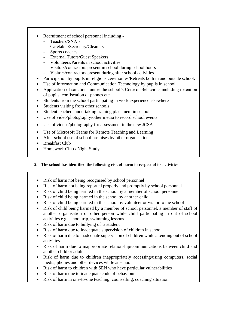- Recruitment of school personnel including
	- Teachers/SNA's
	- Caretaker/Secretary/Cleaners
	- Sports coaches
	- External Tutors/Guest Speakers
	- Volunteers/Parents in school activities
	- Visitors/contractors present in school during school hours
	- Visitors/contractors present during after school activities
- Participation by pupils in religious ceremonies/Retreats both in and outside school.
- Use of Information and Communication Technology by pupils in school
- Application of sanctions under the school's Code of Behaviour including detention of pupils, confiscation of phones etc.
- Students from the school participating in work experience elsewhere
- Students visiting from other schools
- Student teachers undertaking training placement in school
- Use of video/photography/other media to record school events
- Use of videos/photography for assessment in the new JCSA
- Use of Microsoft Teams for Remote Teaching and Learning
- After school use of school premises by other organisations
- Breakfast Club
- Homework Club / Night Study

#### **2. The school has identified the following risk of harm in respect of its activities**

- Risk of harm not being recognised by school personnel
- Risk of harm not being reported properly and promptly by school personnel
- Risk of child being harmed in the school by a member of school personnel
- Risk of child being harmed in the school by another child
- Risk of child being harmed in the school by volunteer or visitor to the school
- Risk of child being harmed by a member of school personnel, a member of staff of another organisation or other person while child participating in out of school activities e.g. school trip, swimming lessons
- Risk of harm due to bullying of a student
- Risk of harm due to inadequate supervision of children in school
- Risk of harm due to inadequate supervision of children while attending out of school activities
- Risk of harm due to inappropriate relationship/communications between child and another child or adult
- Risk of harm due to children inappropriately accessing/using computers, social media, phones and other devices while at school
- Risk of harm to children with SEN who have particular vulnerabilities
- Risk of harm due to inadequate code of behaviour
- Risk of harm in one-to-one teaching, counselling, coaching situation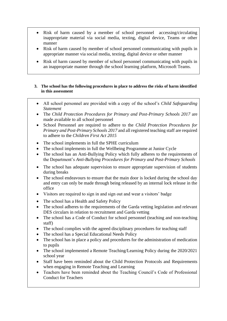- Risk of harm caused by a member of school personnel accessing/circulating inappropriate material via social media, texting, digital device, Teams or other manner
- Risk of harm caused by member of school personnel communicating with pupils in appropriate manner via social media, texting, digital device or other manner
- Risk of harm caused by member of school personnel communicating with pupils in an inappropriate manner through the school learning platform, Microsoft Teams.

#### **3. The school has the following procedures in place to address the risks of harm identified in this assessment**

- All school personnel are provided with a copy of the school's *Child Safeguarding Statement*
- The *Child Protection Procedures for Primary and Post-Primary Schools 2017* are made available to all school personnel
- School Personnel are required to adhere to the *Child Protection Procedures for Primary and Post-Primary Schools 2017* and all registered teaching staff are required to adhere to the *Children First Act 2015*
- The school implements in full the SPHE curriculum
- The school implements in full the Wellbeing Programme at Junior Cycle
- The school has an Anti-Bullying Policy which fully adheres to the requirements of the Department's *Anti-Bullying Procedures for Primary and Post-Primary Schools*
- The school has adequate supervision to ensure appropriate supervision of students during breaks
- The school endeavours to ensure that the main door is locked during the school day and entry can only be made through being released by an internal lock release in the office
- Visitors are required to sign in and sign out and wear a visitors' badge
- The school has a Health and Safety Policy
- The school adheres to the requirements of the Garda vetting legislation and relevant DES circulars in relation to recruitment and Garda vetting
- The school has a Code of Conduct for school personnel (teaching and non-teaching staff)
- The school complies with the agreed disciplinary procedures for teaching staff
- The school has a Special Educational Needs Policy
- The school has in place a policy and procedures for the administration of medication to pupils
- The school implemented a Remote Teaching/Learning Policy during the 2020/2021 school year
- Staff have been reminded about the Child Protection Protocols and Requirements when engaging in Remote Teaching and Learning
- Teachers have been reminded about the Teaching Council's Code of Professional Conduct for Teachers